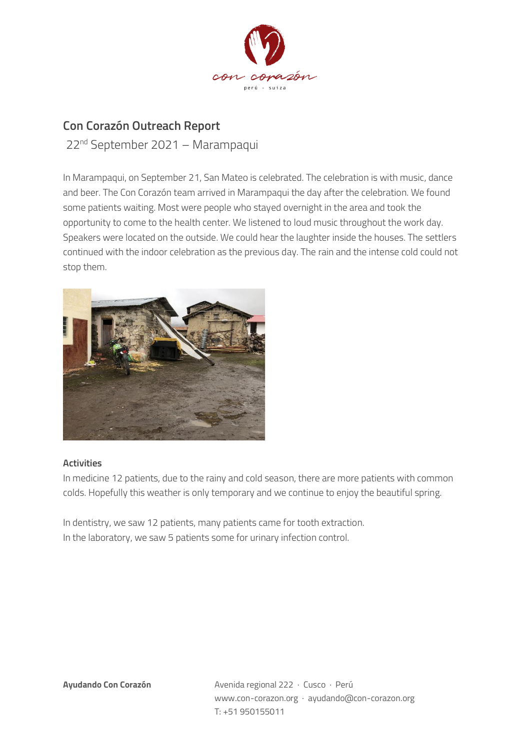

## **Con Corazón Outreach Report**

22nd September 2021 – Marampaqui

In Marampaqui, on September 21, San Mateo is celebrated. The celebration is with music, dance and beer. The Con Corazón team arrived in Marampaqui the day after the celebration. We found some patients waiting. Most were people who stayed overnight in the area and took the opportunity to come to the health center. We listened to loud music throughout the work day. Speakers were located on the outside. We could hear the laughter inside the houses. The settlers continued with the indoor celebration as the previous day. The rain and the intense cold could not stop them.



## **Activities**

In medicine 12 patients, due to the rainy and cold season, there are more patients with common colds. Hopefully this weather is only temporary and we continue to enjoy the beautiful spring.

In dentistry, we saw 12 patients, many patients came for tooth extraction. In the laboratory, we saw 5 patients some for urinary infection control.

**Ayudando Con Corazón** Avenida regional 222 · Cusco · Perú www.con-corazon.org · ayudando@con-corazon.org T: +51 950155011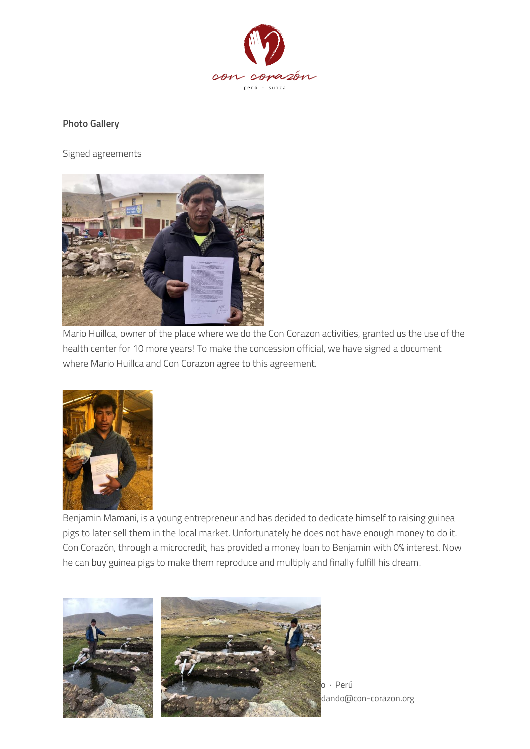

## **Photo Gallery**

Signed agreements



Mario Huillca, owner of the place where we do the Con Corazon activities, granted us the use of the health center for 10 more years! To make the concession official, we have signed a document where Mario Huillca and Con Corazon agree to this agreement.



Benjamin Mamani, is a young entrepreneur and has decided to dedicate himself to raising guinea pigs to later sell them in the local market. Unfortunately he does not have enough money to do it. Con Corazón, through a microcredit, has provided a money loan to Benjamin with 0% interest. Now he can buy guinea pigs to make them reproduce and multiply and finally fulfill his dream.



dando@con-corazon.org